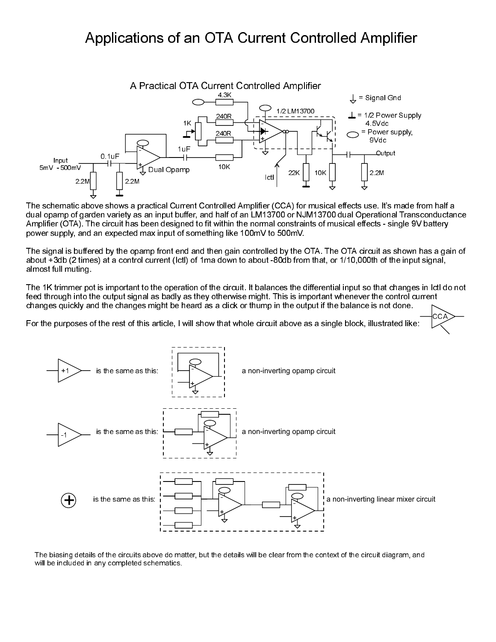# Applications of an OTA Current Controlled Amplifier



The schematic above shows a practical Current Controlled Amplifier (CCA) for musical effects use. It's made from half a dual opamp of garden variety as an input buffer, and half of an LM13700 or NJM13700 dual Operational Transconductance Amplifier (OTA). The circuit has been designed to fit within the normal constraints of musical effects - single 9V battery power supply, and an expected max input of something like 100mV to 500mV.

The signal is buffered by the opamp front end and then gain controlled by the OTA. The OTA circuit as shown has a gain of about +3db (2 times) at a control current (Ictl) of 1ma down to about -80db from that, or 1/10,000th of the input signal, almost full muting.

The 1K trimmer pot is important to the operation of the circuit. It balances the differential input so that changes in Ictl do not feed through into the output signal as badly as they otherwise might. This is important whenever the control current changes quickly and the changes might be heard as a click or thump in the output if the balance is not done.

CCA

For the purposes of the rest of this article, I will show that whole circuit above as a single block, illustrated like:



The biasing details of the circuits above do matter, but the details will be clear from the context of the circuit diagram, and will be included in any completed schematics.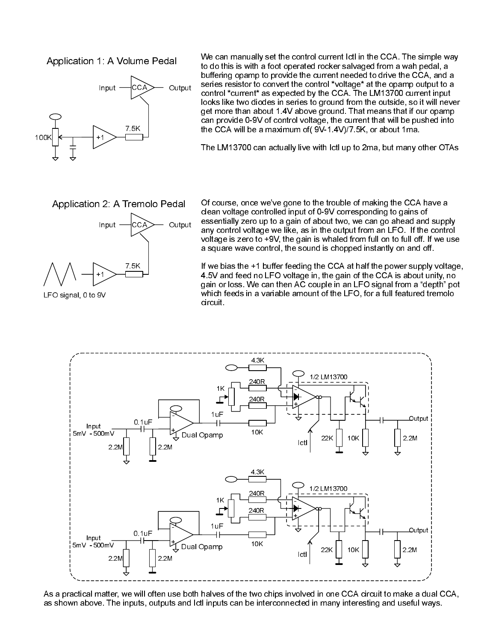#### Application 1: A Volume Pedal



We can manually set the control current Ictl in the CCA. The simple way to do this is with a foot operated rocker salvaged from a wah pedal, a buffering opamp to provide the current needed to drive the CCA, and a series resistor to convert the control \*voltage\* at the opamp output to a control \*current\* as expected by the CCA. The LM13700 current input looks like two diodes in series to ground from the outside, so it will never get more than about 1.4V above ground. That means that if our opamp can provide 0-9V of control voltage, the current that will be pushed into the CCA will be a maximum of( 9V-1.4V)/7.5K, or about 1ma.

The LM13700 can actually live with Ictl up to 2ma, but many other OTAs

Application 2: A Tremolo Pedal



LFO signal, 0 to 9V

Of course, once we've gone to the trouble of making the CCA have a clean voltage controlled input of 0-9V corresponding to gains of essentially zero up to a gain of about two, we can go ahead and supply any control voltage we like, as in the output from an LFO. If the control voltage is zero to +9V, the gain is whaled from full on to full off. If we use a square wave control, the sound is chopped instantly on and off.

If we bias the +1 buffer feeding the CCA at half the power supply voltage, 4.5V and feed no LFO voltage in, the gain of the CCA is about unity, no gain or loss. We can then AC couple in an LFO signal from a "depth" pot which feeds in a variable amount of the LFO, for a full featured tremolo circuit.



As a practical matter, we will often use both halves of the two chips involved in one CCA circuit to make a dual CCA, as shown above. The inputs, outputs and Ictl inputs can be interconnected in many interesting and useful ways.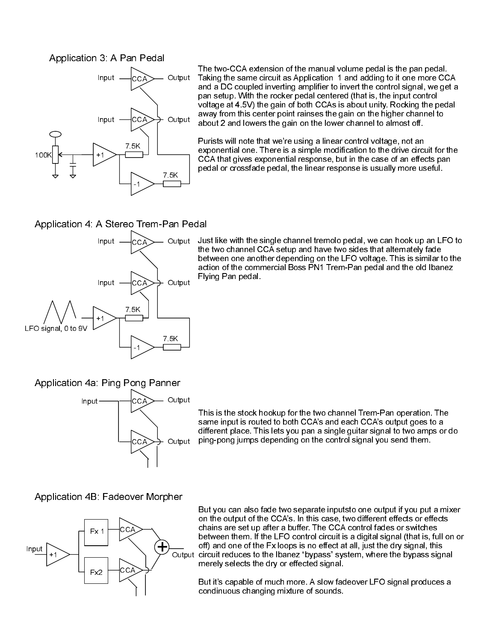#### Application 3: A Pan Pedal



The two-CCA extension of the manual volume pedal is the pan pedal. Taking the same circuit as Application 1 and adding to it one more CCA and a DC coupled inverting amplifier to invert the control signal, we get a pan setup. With the rocker pedal centered (that is, the input control voltage at 4.5V) the gain of both CCAs is about unity. Rocking the pedal away from this center point rainses the gain on the higher channel to about 2 and lowers the gain on the lower channel to almost off.

Purists will note that we're using a linear control voltage, not an exponential one. There is a simple modification to the drive circuit for the CCA that gives exponential response, but in the case of an effects pan pedal or crossfade pedal, the linear response is usually more useful.

## Application 4: A Stereo Trem-Pan Pedal



Output Just like with the single channel tremolo pedal, we can hook up an LFO to the two channel CCA setup and have two sides that alternately fade between one another depending on the LFO voltage. This is similar to the action of the commercial Boss PN1 Trem-Pan pedal and the old Ibanez Flying Pan pedal.

### Application 4a: Ping Pong Panner



This is the stock hookup for the two channel Trem-Pan operation. The same input is routed to both CCA's and each CCA's output goes to a different place. This lets you pan a single guitar signal to two amps or do ping-pong jumps depending on the control signal you send them.

### Application 4B: Fadeover Morpher



But you can also fade two separate inputsto one output if you put a mixer on the output of the CCA's. In this case, two different effects or effects chains are set up after a buffer. The CCA control fades or switches between them. If the LFO control circuit is a digital signal (that is, full on or off) and one of the Fx loops is no effect at all, just the dry signal, this circuit reduces to the Ibanez "bypass" system, where the bypass signal merely selects the dry or effected signal.

But it's capable of much more. A slow fadeover LFO signal produces a condinuous changing mixture of sounds.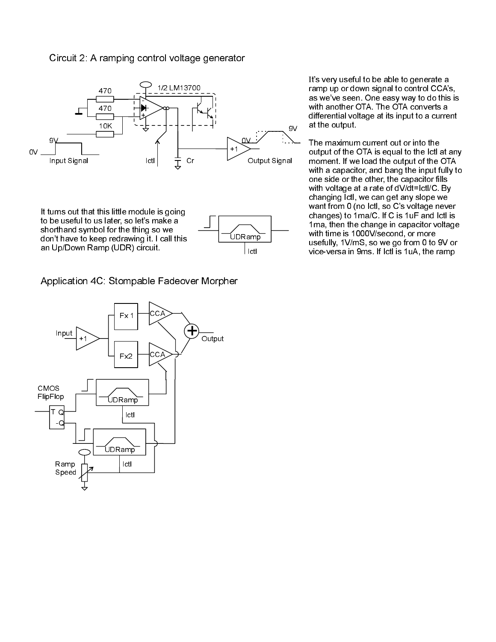#### Circuit 2: A ramping control voltage generator



Application 4C: Stompable Fadeover Morpher

It's very useful to be able to generate a ramp up or down signal to control CCA's, as we've seen. One easy way to do this is with another OTA. The OTA converts a differential voltage at its input to a current at the output.

The maximum current out or into the output of the OTA is equal to the Ictl at any moment. If we load the output of the OTA with a capacitor, and bang the input fully to one side or the other, the capacitor fills with voltage at a rate of dV/dt=Ictl/C. By changing Ictl, we can get any slope we want from 0 (no Ictl, so C's voltage never changes) to 1ma/C. If C is 1uF and Ictl is 1ma, then the change in capacitor voltage with time is 1000V/second, or more usefully, 1V/mS, so we go from 0 to 9V or vice-versa in 9ms. If Ictl is 1uA, the ramp